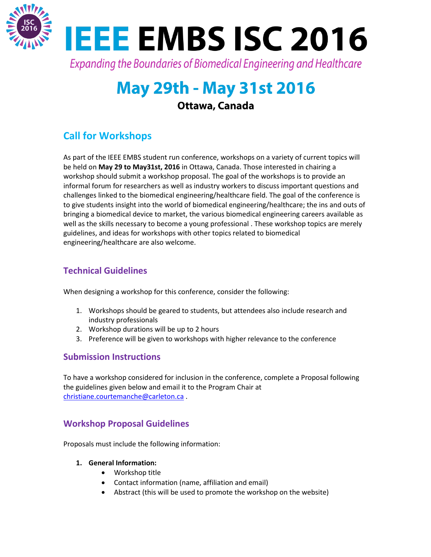

# **May 29th - May 31st 2016**

## Ottawa, Canada

## **Call for Workshops**

As part of the IEEE EMBS student run conference, workshops on a variety of current topics will be held on **May 29 to May31st, 2016** in Ottawa, Canada. Those interested in chairing a workshop should submit a workshop proposal. The goal of the workshops is to provide an informal forum for researchers as well as industry workers to discuss important questions and challenges linked to the biomedical engineering/healthcare field. The goal of the conference is to give students insight into the world of biomedical engineering/healthcare; the ins and outs of bringing a biomedical device to market, the various biomedical engineering careers available as well as the skills necessary to become a young professional . These workshop topics are merely guidelines, and ideas for workshops with other topics related to biomedical engineering/healthcare are also welcome.

## **Technical Guidelines**

When designing a workshop for this conference, consider the following:

- 1. Workshops should be geared to students, but attendees also include research and industry professionals
- 2. Workshop durations will be up to 2 hours
- 3. Preference will be given to workshops with higher relevance to the conference

## **Submission Instructions**

To have a workshop considered for inclusion in the conference, complete a Proposal following the guidelines given below and email it to the Program Chair at christiane.courtemanche@carleton.ca .

## **Workshop Proposal Guidelines**

Proposals must include the following information:

- **1. General Information:**
	- Workshop title
	- Contact information (name, affiliation and email)
	- Abstract (this will be used to promote the workshop on the website)